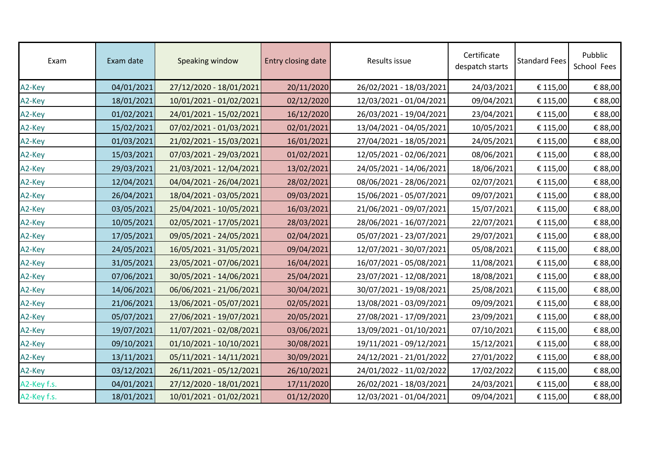| Exam        | Exam date  | Speaking window         | Entry closing date | Results issue           | Certificate<br>despatch starts | <b>Standard Fees</b> | Pubblic<br>School Fees |
|-------------|------------|-------------------------|--------------------|-------------------------|--------------------------------|----------------------|------------------------|
| A2-Key      | 04/01/2021 | 27/12/2020 - 18/01/2021 | 20/11/2020         | 26/02/2021 - 18/03/2021 | 24/03/2021                     | € 115,00             | € 88,00                |
| A2-Key      | 18/01/2021 | 10/01/2021 - 01/02/2021 | 02/12/2020         | 12/03/2021 - 01/04/2021 | 09/04/2021                     | € 115,00             | € 88,00                |
| A2-Key      | 01/02/2021 | 24/01/2021 - 15/02/2021 | 16/12/2020         | 26/03/2021 - 19/04/2021 | 23/04/2021                     | € 115,00             | € 88,00                |
| A2-Key      | 15/02/2021 | 07/02/2021 - 01/03/2021 | 02/01/2021         | 13/04/2021 - 04/05/2021 | 10/05/2021                     | € 115,00             | € 88,00                |
| A2-Key      | 01/03/2021 | 21/02/2021 - 15/03/2021 | 16/01/2021         | 27/04/2021 - 18/05/2021 | 24/05/2021                     | € 115,00             | € 88,00                |
| A2-Key      | 15/03/2021 | 07/03/2021 - 29/03/2021 | 01/02/2021         | 12/05/2021 - 02/06/2021 | 08/06/2021                     | € 115,00             | € 88,00                |
| A2-Key      | 29/03/2021 | 21/03/2021 - 12/04/2021 | 13/02/2021         | 24/05/2021 - 14/06/2021 | 18/06/2021                     | € 115,00             | € 88,00                |
| A2-Key      | 12/04/2021 | 04/04/2021 - 26/04/2021 | 28/02/2021         | 08/06/2021 - 28/06/2021 | 02/07/2021                     | € 115,00             | € 88,00                |
| A2-Key      | 26/04/2021 | 18/04/2021 - 03/05/2021 | 09/03/2021         | 15/06/2021 - 05/07/2021 | 09/07/2021                     | € 115,00             | € 88,00                |
| A2-Key      | 03/05/2021 | 25/04/2021 - 10/05/2021 | 16/03/2021         | 21/06/2021 - 09/07/2021 | 15/07/2021                     | € 115,00             | € 88,00                |
| A2-Key      | 10/05/2021 | 02/05/2021 - 17/05/2021 | 28/03/2021         | 28/06/2021 - 16/07/2021 | 22/07/2021                     | € 115,00             | € 88,00                |
| A2-Key      | 17/05/2021 | 09/05/2021 - 24/05/2021 | 02/04/2021         | 05/07/2021 - 23/07/2021 | 29/07/2021                     | € 115,00             | € 88,00                |
| A2-Key      | 24/05/2021 | 16/05/2021 - 31/05/2021 | 09/04/2021         | 12/07/2021 - 30/07/2021 | 05/08/2021                     | € 115,00             | € 88,00                |
| A2-Key      | 31/05/2021 | 23/05/2021 - 07/06/2021 | 16/04/2021         | 16/07/2021 - 05/08/2021 | 11/08/2021                     | € 115,00             | € 88,00                |
| A2-Key      | 07/06/2021 | 30/05/2021 - 14/06/2021 | 25/04/2021         | 23/07/2021 - 12/08/2021 | 18/08/2021                     | € 115,00             | € 88,00                |
| A2-Key      | 14/06/2021 | 06/06/2021 - 21/06/2021 | 30/04/2021         | 30/07/2021 - 19/08/2021 | 25/08/2021                     | € 115,00             | € 88,00                |
| A2-Key      | 21/06/2021 | 13/06/2021 - 05/07/2021 | 02/05/2021         | 13/08/2021 - 03/09/2021 | 09/09/2021                     | € 115,00             | € 88,00                |
| A2-Key      | 05/07/2021 | 27/06/2021 - 19/07/2021 | 20/05/2021         | 27/08/2021 - 17/09/2021 | 23/09/2021                     | € 115,00             | € 88,00                |
| A2-Key      | 19/07/2021 | 11/07/2021 - 02/08/2021 | 03/06/2021         | 13/09/2021 - 01/10/2021 | 07/10/2021                     | € 115,00             | € 88,00                |
| A2-Key      | 09/10/2021 | 01/10/2021 - 10/10/2021 | 30/08/2021         | 19/11/2021 - 09/12/2021 | 15/12/2021                     | € 115,00             | € 88,00                |
| A2-Key      | 13/11/2021 | 05/11/2021 - 14/11/2021 | 30/09/2021         | 24/12/2021 - 21/01/2022 | 27/01/2022                     | € 115,00             | € 88,00                |
| A2-Key      | 03/12/2021 | 26/11/2021 - 05/12/2021 | 26/10/2021         | 24/01/2022 - 11/02/2022 | 17/02/2022                     | € 115,00             | € 88,00                |
| A2-Key f.s. | 04/01/2021 | 27/12/2020 - 18/01/2021 | 17/11/2020         | 26/02/2021 - 18/03/2021 | 24/03/2021                     | € 115,00             | € 88,00                |
| A2-Key f.s. | 18/01/2021 | 10/01/2021 - 01/02/2021 | 01/12/2020         | 12/03/2021 - 01/04/2021 | 09/04/2021                     | € 115,00             | € 88,00                |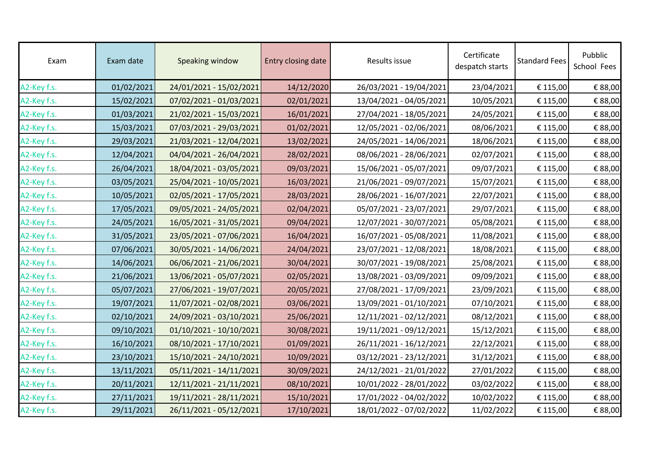| Exam        | Exam date  | Speaking window         | Entry closing date | Results issue           | Certificate<br>despatch starts | <b>Standard Fees</b> | Pubblic<br>School Fees |
|-------------|------------|-------------------------|--------------------|-------------------------|--------------------------------|----------------------|------------------------|
| A2-Key f.s. | 01/02/2021 | 24/01/2021 - 15/02/2021 | 14/12/2020         | 26/03/2021 - 19/04/2021 | 23/04/2021                     | € 115,00             | € 88,00                |
| A2-Key f.s. | 15/02/2021 | 07/02/2021 - 01/03/2021 | 02/01/2021         | 13/04/2021 - 04/05/2021 | 10/05/2021                     | € 115,00             | € 88,00                |
| A2-Key f.s. | 01/03/2021 | 21/02/2021 - 15/03/2021 | 16/01/2021         | 27/04/2021 - 18/05/2021 | 24/05/2021                     | € 115,00             | € 88,00                |
| A2-Key f.s. | 15/03/2021 | 07/03/2021 - 29/03/2021 | 01/02/2021         | 12/05/2021 - 02/06/2021 | 08/06/2021                     | € 115,00             | € 88,00                |
| A2-Key f.s. | 29/03/2021 | 21/03/2021 - 12/04/2021 | 13/02/2021         | 24/05/2021 - 14/06/2021 | 18/06/2021                     | € 115,00             | € 88,00                |
| A2-Key f.s. | 12/04/2021 | 04/04/2021 - 26/04/2021 | 28/02/2021         | 08/06/2021 - 28/06/2021 | 02/07/2021                     | € 115,00             | € 88,00                |
| A2-Key f.s. | 26/04/2021 | 18/04/2021 - 03/05/2021 | 09/03/2021         | 15/06/2021 - 05/07/2021 | 09/07/2021                     | € 115,00             | € 88,00                |
| A2-Key f.s. | 03/05/2021 | 25/04/2021 - 10/05/2021 | 16/03/2021         | 21/06/2021 - 09/07/2021 | 15/07/2021                     | € 115,00             | € 88,00                |
| A2-Key f.s. | 10/05/2021 | 02/05/2021 - 17/05/2021 | 28/03/2021         | 28/06/2021 - 16/07/2021 | 22/07/2021                     | € 115,00             | € 88,00                |
| A2-Key f.s. | 17/05/2021 | 09/05/2021 - 24/05/2021 | 02/04/2021         | 05/07/2021 - 23/07/2021 | 29/07/2021                     | € 115,00             | € 88,00                |
| A2-Key f.s. | 24/05/2021 | 16/05/2021 - 31/05/2021 | 09/04/2021         | 12/07/2021 - 30/07/2021 | 05/08/2021                     | € 115,00             | € 88,00                |
| A2-Key f.s. | 31/05/2021 | 23/05/2021 - 07/06/2021 | 16/04/2021         | 16/07/2021 - 05/08/2021 | 11/08/2021                     | € 115,00             | € 88,00                |
| A2-Key f.s. | 07/06/2021 | 30/05/2021 - 14/06/2021 | 24/04/2021         | 23/07/2021 - 12/08/2021 | 18/08/2021                     | € 115,00             | € 88,00                |
| A2-Key f.s. | 14/06/2021 | 06/06/2021 - 21/06/2021 | 30/04/2021         | 30/07/2021 - 19/08/2021 | 25/08/2021                     | € 115,00             | € 88,00                |
| A2-Key f.s. | 21/06/2021 | 13/06/2021 - 05/07/2021 | 02/05/2021         | 13/08/2021 - 03/09/2021 | 09/09/2021                     | € 115,00             | € 88,00                |
| A2-Key f.s. | 05/07/2021 | 27/06/2021 - 19/07/2021 | 20/05/2021         | 27/08/2021 - 17/09/2021 | 23/09/2021                     | € 115,00             | € 88,00                |
| A2-Key f.s. | 19/07/2021 | 11/07/2021 - 02/08/2021 | 03/06/2021         | 13/09/2021 - 01/10/2021 | 07/10/2021                     | € 115,00             | € 88,00                |
| A2-Key f.s. | 02/10/2021 | 24/09/2021 - 03/10/2021 | 25/06/2021         | 12/11/2021 - 02/12/2021 | 08/12/2021                     | € 115,00             | € 88,00                |
| A2-Key f.s. | 09/10/2021 | 01/10/2021 - 10/10/2021 | 30/08/2021         | 19/11/2021 - 09/12/2021 | 15/12/2021                     | € 115,00             | € 88,00                |
| A2-Key f.s. | 16/10/2021 | 08/10/2021 - 17/10/2021 | 01/09/2021         | 26/11/2021 - 16/12/2021 | 22/12/2021                     | € 115,00             | € 88,00                |
| A2-Key f.s. | 23/10/2021 | 15/10/2021 - 24/10/2021 | 10/09/2021         | 03/12/2021 - 23/12/2021 | 31/12/2021                     | € 115,00             | € 88,00                |
| A2-Key f.s. | 13/11/2021 | 05/11/2021 - 14/11/2021 | 30/09/2021         | 24/12/2021 - 21/01/2022 | 27/01/2022                     | € 115,00             | € 88,00                |
| A2-Key f.s. | 20/11/2021 | 12/11/2021 - 21/11/2021 | 08/10/2021         | 10/01/2022 - 28/01/2022 | 03/02/2022                     | € 115,00             | € 88,00                |
| A2-Key f.s. | 27/11/2021 | 19/11/2021 - 28/11/2021 | 15/10/2021         | 17/01/2022 - 04/02/2022 | 10/02/2022                     | € 115,00             | € 88,00                |
| A2-Key f.s. | 29/11/2021 | 26/11/2021 - 05/12/2021 | 17/10/2021         | 18/01/2022 - 07/02/2022 | 11/02/2022                     | € 115,00             | € 88,00                |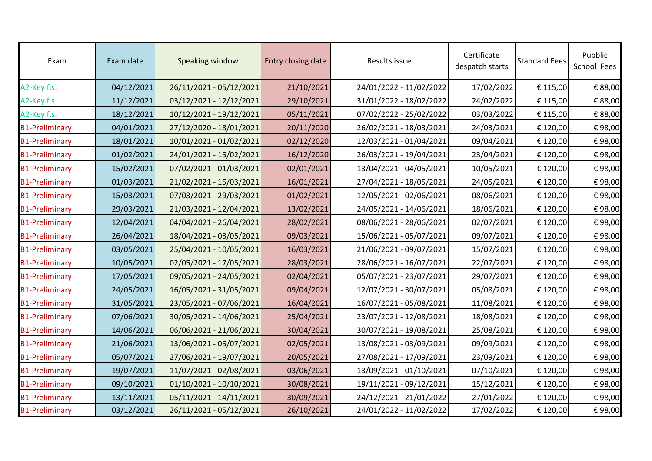| Exam                  | Exam date  | Speaking window         | Entry closing date | Results issue           | Certificate<br>despatch starts | <b>Standard Fees</b> | Pubblic<br>School Fees |
|-----------------------|------------|-------------------------|--------------------|-------------------------|--------------------------------|----------------------|------------------------|
| A2-Key f.s.           | 04/12/2021 | 26/11/2021 - 05/12/2021 | 21/10/2021         | 24/01/2022 - 11/02/2022 | 17/02/2022                     | € 115,00             | € 88,00                |
| A2-Key f.s.           | 11/12/2021 | 03/12/2021 - 12/12/2021 | 29/10/2021         | 31/01/2022 - 18/02/2022 | 24/02/2022                     | € 115,00             | € 88,00                |
| A2-Key f.s.           | 18/12/2021 | 10/12/2021 - 19/12/2021 | 05/11/2021         | 07/02/2022 - 25/02/2022 | 03/03/2022                     | € 115,00             | € 88,00                |
| <b>B1-Preliminary</b> | 04/01/2021 | 27/12/2020 - 18/01/2021 | 20/11/2020         | 26/02/2021 - 18/03/2021 | 24/03/2021                     | € 120,00             | €98,00                 |
| <b>B1-Preliminary</b> | 18/01/2021 | 10/01/2021 - 01/02/2021 | 02/12/2020         | 12/03/2021 - 01/04/2021 | 09/04/2021                     | € 120,00             | €98,00                 |
| <b>B1-Preliminary</b> | 01/02/2021 | 24/01/2021 - 15/02/2021 | 16/12/2020         | 26/03/2021 - 19/04/2021 | 23/04/2021                     | € 120,00             | €98,00                 |
| <b>B1-Preliminary</b> | 15/02/2021 | 07/02/2021 - 01/03/2021 | 02/01/2021         | 13/04/2021 - 04/05/2021 | 10/05/2021                     | € 120,00             | €98,00                 |
| <b>B1-Preliminary</b> | 01/03/2021 | 21/02/2021 - 15/03/2021 | 16/01/2021         | 27/04/2021 - 18/05/2021 | 24/05/2021                     | € 120,00             | €98,00                 |
| <b>B1-Preliminary</b> | 15/03/2021 | 07/03/2021 - 29/03/2021 | 01/02/2021         | 12/05/2021 - 02/06/2021 | 08/06/2021                     | € 120,00             | €98,00                 |
| <b>B1-Preliminary</b> | 29/03/2021 | 21/03/2021 - 12/04/2021 | 13/02/2021         | 24/05/2021 - 14/06/2021 | 18/06/2021                     | € 120,00             | €98,00                 |
| <b>B1-Preliminary</b> | 12/04/2021 | 04/04/2021 - 26/04/2021 | 28/02/2021         | 08/06/2021 - 28/06/2021 | 02/07/2021                     | € 120,00             | €98,00                 |
| <b>B1-Preliminary</b> | 26/04/2021 | 18/04/2021 - 03/05/2021 | 09/03/2021         | 15/06/2021 - 05/07/2021 | 09/07/2021                     | € 120,00             | €98,00                 |
| <b>B1-Preliminary</b> | 03/05/2021 | 25/04/2021 - 10/05/2021 | 16/03/2021         | 21/06/2021 - 09/07/2021 | 15/07/2021                     | € 120,00             | €98,00                 |
| <b>B1-Preliminary</b> | 10/05/2021 | 02/05/2021 - 17/05/2021 | 28/03/2021         | 28/06/2021 - 16/07/2021 | 22/07/2021                     | € 120,00             | €98,00                 |
| <b>B1-Preliminary</b> | 17/05/2021 | 09/05/2021 - 24/05/2021 | 02/04/2021         | 05/07/2021 - 23/07/2021 | 29/07/2021                     | € 120,00             | €98,00                 |
| <b>B1-Preliminary</b> | 24/05/2021 | 16/05/2021 - 31/05/2021 | 09/04/2021         | 12/07/2021 - 30/07/2021 | 05/08/2021                     | € 120,00             | €98,00                 |
| <b>B1-Preliminary</b> | 31/05/2021 | 23/05/2021 - 07/06/2021 | 16/04/2021         | 16/07/2021 - 05/08/2021 | 11/08/2021                     | € 120,00             | €98,00                 |
| <b>B1-Preliminary</b> | 07/06/2021 | 30/05/2021 - 14/06/2021 | 25/04/2021         | 23/07/2021 - 12/08/2021 | 18/08/2021                     | € 120,00             | €98,00                 |
| <b>B1-Preliminary</b> | 14/06/2021 | 06/06/2021 - 21/06/2021 | 30/04/2021         | 30/07/2021 - 19/08/2021 | 25/08/2021                     | € 120,00             | €98,00                 |
| <b>B1-Preliminary</b> | 21/06/2021 | 13/06/2021 - 05/07/2021 | 02/05/2021         | 13/08/2021 - 03/09/2021 | 09/09/2021                     | € 120,00             | €98,00                 |
| <b>B1-Preliminary</b> | 05/07/2021 | 27/06/2021 - 19/07/2021 | 20/05/2021         | 27/08/2021 - 17/09/2021 | 23/09/2021                     | € 120,00             | €98,00                 |
| <b>B1-Preliminary</b> | 19/07/2021 | 11/07/2021 - 02/08/2021 | 03/06/2021         | 13/09/2021 - 01/10/2021 | 07/10/2021                     | € 120,00             | €98,00                 |
| <b>B1-Preliminary</b> | 09/10/2021 | 01/10/2021 - 10/10/2021 | 30/08/2021         | 19/11/2021 - 09/12/2021 | 15/12/2021                     | € 120,00             | €98,00                 |
| <b>B1-Preliminary</b> | 13/11/2021 | 05/11/2021 - 14/11/2021 | 30/09/2021         | 24/12/2021 - 21/01/2022 | 27/01/2022                     | € 120,00             | €98,00                 |
| <b>B1-Preliminary</b> | 03/12/2021 | 26/11/2021 - 05/12/2021 | 26/10/2021         | 24/01/2022 - 11/02/2022 | 17/02/2022                     | € 120,00             | €98,00                 |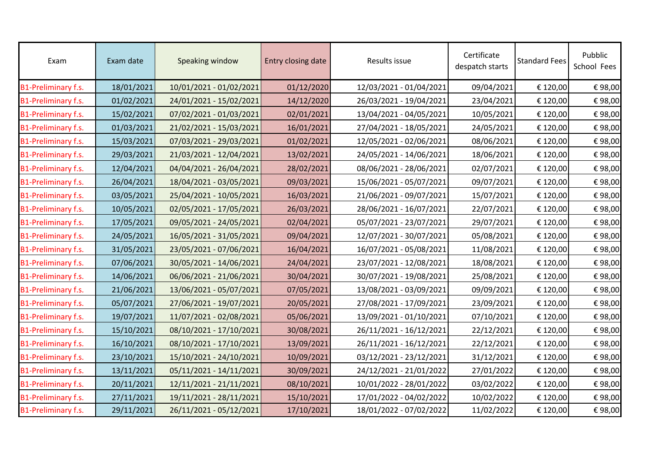| Exam                       | Exam date  | Speaking window         | Entry closing date | Results issue           | Certificate<br>despatch starts | <b>Standard Fees</b> | Pubblic<br>School Fees |
|----------------------------|------------|-------------------------|--------------------|-------------------------|--------------------------------|----------------------|------------------------|
| B1-Preliminary f.s.        | 18/01/2021 | 10/01/2021 - 01/02/2021 | 01/12/2020         | 12/03/2021 - 01/04/2021 | 09/04/2021                     | € 120,00             | €98,00                 |
| B1-Preliminary f.s.        | 01/02/2021 | 24/01/2021 - 15/02/2021 | 14/12/2020         | 26/03/2021 - 19/04/2021 | 23/04/2021                     | € 120,00             | €98,00                 |
| B1-Preliminary f.s.        | 15/02/2021 | 07/02/2021 - 01/03/2021 | 02/01/2021         | 13/04/2021 - 04/05/2021 | 10/05/2021                     | € 120,00             | €98,00                 |
| <b>B1-Preliminary f.s.</b> | 01/03/2021 | 21/02/2021 - 15/03/2021 | 16/01/2021         | 27/04/2021 - 18/05/2021 | 24/05/2021                     | € 120,00             | €98,00                 |
| <b>B1-Preliminary f.s.</b> | 15/03/2021 | 07/03/2021 - 29/03/2021 | 01/02/2021         | 12/05/2021 - 02/06/2021 | 08/06/2021                     | € 120,00             | €98,00                 |
| B1-Preliminary f.s.        | 29/03/2021 | 21/03/2021 - 12/04/2021 | 13/02/2021         | 24/05/2021 - 14/06/2021 | 18/06/2021                     | € 120,00             | €98,00                 |
| B1-Preliminary f.s.        | 12/04/2021 | 04/04/2021 - 26/04/2021 | 28/02/2021         | 08/06/2021 - 28/06/2021 | 02/07/2021                     | € 120,00             | €98,00                 |
| B1-Preliminary f.s.        | 26/04/2021 | 18/04/2021 - 03/05/2021 | 09/03/2021         | 15/06/2021 - 05/07/2021 | 09/07/2021                     | € 120,00             | €98,00                 |
| <b>B1-Preliminary f.s.</b> | 03/05/2021 | 25/04/2021 - 10/05/2021 | 16/03/2021         | 21/06/2021 - 09/07/2021 | 15/07/2021                     | € 120,00             | €98,00                 |
| B1-Preliminary f.s.        | 10/05/2021 | 02/05/2021 - 17/05/2021 | 26/03/2021         | 28/06/2021 - 16/07/2021 | 22/07/2021                     | € 120,00             | €98,00                 |
| B1-Preliminary f.s.        | 17/05/2021 | 09/05/2021 - 24/05/2021 | 02/04/2021         | 05/07/2021 - 23/07/2021 | 29/07/2021                     | € 120,00             | €98,00                 |
| B1-Preliminary f.s.        | 24/05/2021 | 16/05/2021 - 31/05/2021 | 09/04/2021         | 12/07/2021 - 30/07/2021 | 05/08/2021                     | € 120,00             | €98,00                 |
| B1-Preliminary f.s.        | 31/05/2021 | 23/05/2021 - 07/06/2021 | 16/04/2021         | 16/07/2021 - 05/08/2021 | 11/08/2021                     | € 120,00             | €98,00                 |
| B1-Preliminary f.s.        | 07/06/2021 | 30/05/2021 - 14/06/2021 | 24/04/2021         | 23/07/2021 - 12/08/2021 | 18/08/2021                     | € 120,00             | €98,00                 |
| <b>B1-Preliminary f.s.</b> | 14/06/2021 | 06/06/2021 - 21/06/2021 | 30/04/2021         | 30/07/2021 - 19/08/2021 | 25/08/2021                     | € 120,00             | €98,00                 |
| B1-Preliminary f.s.        | 21/06/2021 | 13/06/2021 - 05/07/2021 | 07/05/2021         | 13/08/2021 - 03/09/2021 | 09/09/2021                     | € 120,00             | €98,00                 |
| B1-Preliminary f.s.        | 05/07/2021 | 27/06/2021 - 19/07/2021 | 20/05/2021         | 27/08/2021 - 17/09/2021 | 23/09/2021                     | € 120,00             | €98,00                 |
| <b>B1-Preliminary f.s.</b> | 19/07/2021 | 11/07/2021 - 02/08/2021 | 05/06/2021         | 13/09/2021 - 01/10/2021 | 07/10/2021                     | € 120,00             | €98,00                 |
| B1-Preliminary f.s.        | 15/10/2021 | 08/10/2021 - 17/10/2021 | 30/08/2021         | 26/11/2021 - 16/12/2021 | 22/12/2021                     | € 120,00             | €98,00                 |
| <b>B1-Preliminary f.s.</b> | 16/10/2021 | 08/10/2021 - 17/10/2021 | 13/09/2021         | 26/11/2021 - 16/12/2021 | 22/12/2021                     | € 120,00             | €98,00                 |
| B1-Preliminary f.s.        | 23/10/2021 | 15/10/2021 - 24/10/2021 | 10/09/2021         | 03/12/2021 - 23/12/2021 | 31/12/2021                     | € 120,00             | €98,00                 |
| <b>B1-Preliminary f.s.</b> | 13/11/2021 | 05/11/2021 - 14/11/2021 | 30/09/2021         | 24/12/2021 - 21/01/2022 | 27/01/2022                     | € 120,00             | €98,00                 |
| <b>B1-Preliminary f.s.</b> | 20/11/2021 | 12/11/2021 - 21/11/2021 | 08/10/2021         | 10/01/2022 - 28/01/2022 | 03/02/2022                     | € 120,00             | €98,00                 |
| <b>B1-Preliminary f.s.</b> | 27/11/2021 | 19/11/2021 - 28/11/2021 | 15/10/2021         | 17/01/2022 - 04/02/2022 | 10/02/2022                     | € 120,00             | €98,00                 |
| B1-Preliminary f.s.        | 29/11/2021 | 26/11/2021 - 05/12/2021 | 17/10/2021         | 18/01/2022 - 07/02/2022 | 11/02/2022                     | € 120,00             | €98,00                 |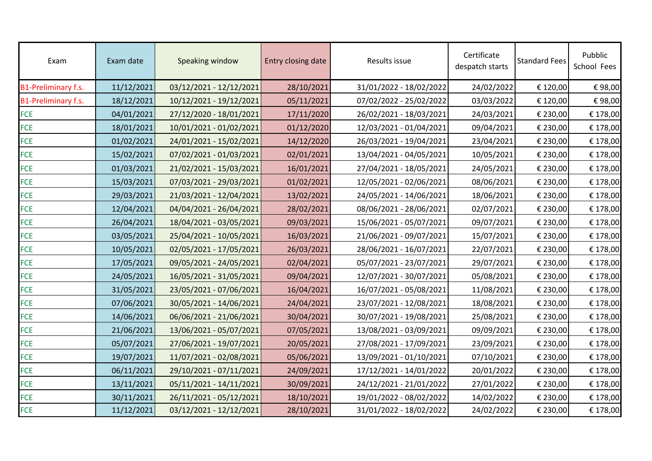| Exam                       | Exam date  | Speaking window         | Entry closing date | Results issue           | Certificate<br>despatch starts | <b>Standard Fees</b> | Pubblic<br>School Fees |
|----------------------------|------------|-------------------------|--------------------|-------------------------|--------------------------------|----------------------|------------------------|
| <b>B1-Preliminary f.s.</b> | 11/12/2021 | 03/12/2021 - 12/12/2021 | 28/10/2021         | 31/01/2022 - 18/02/2022 | 24/02/2022                     | € 120,00             | €98,00                 |
| <b>B1-Preliminary f.s.</b> | 18/12/2021 | 10/12/2021 - 19/12/2021 | 05/11/2021         | 07/02/2022 - 25/02/2022 | 03/03/2022                     | € 120,00             | €98,00                 |
| <b>FCE</b>                 | 04/01/2021 | 27/12/2020 - 18/01/2021 | 17/11/2020         | 26/02/2021 - 18/03/2021 | 24/03/2021                     | € 230,00             | € 178,00               |
| <b>FCE</b>                 | 18/01/2021 | 10/01/2021 - 01/02/2021 | 01/12/2020         | 12/03/2021 - 01/04/2021 | 09/04/2021                     | € 230,00             | € 178,00               |
| <b>FCE</b>                 | 01/02/2021 | 24/01/2021 - 15/02/2021 | 14/12/2020         | 26/03/2021 - 19/04/2021 | 23/04/2021                     | € 230,00             | € 178,00               |
| <b>FCE</b>                 | 15/02/2021 | 07/02/2021 - 01/03/2021 | 02/01/2021         | 13/04/2021 - 04/05/2021 | 10/05/2021                     | € 230,00             | € 178,00               |
| <b>FCE</b>                 | 01/03/2021 | 21/02/2021 - 15/03/2021 | 16/01/2021         | 27/04/2021 - 18/05/2021 | 24/05/2021                     | € 230,00             | € 178,00               |
| <b>FCE</b>                 | 15/03/2021 | 07/03/2021 - 29/03/2021 | 01/02/2021         | 12/05/2021 - 02/06/2021 | 08/06/2021                     | € 230,00             | € 178,00               |
| <b>FCE</b>                 | 29/03/2021 | 21/03/2021 - 12/04/2021 | 13/02/2021         | 24/05/2021 - 14/06/2021 | 18/06/2021                     | € 230,00             | € 178,00               |
| <b>FCE</b>                 | 12/04/2021 | 04/04/2021 - 26/04/2021 | 28/02/2021         | 08/06/2021 - 28/06/2021 | 02/07/2021                     | € 230,00             | € 178,00               |
| <b>FCE</b>                 | 26/04/2021 | 18/04/2021 - 03/05/2021 | 09/03/2021         | 15/06/2021 - 05/07/2021 | 09/07/2021                     | € 230,00             | € 178,00               |
| <b>FCE</b>                 | 03/05/2021 | 25/04/2021 - 10/05/2021 | 16/03/2021         | 21/06/2021 - 09/07/2021 | 15/07/2021                     | € 230,00             | € 178,00               |
| <b>FCE</b>                 | 10/05/2021 | 02/05/2021 - 17/05/2021 | 26/03/2021         | 28/06/2021 - 16/07/2021 | 22/07/2021                     | € 230,00             | € 178,00               |
| <b>FCE</b>                 | 17/05/2021 | 09/05/2021 - 24/05/2021 | 02/04/2021         | 05/07/2021 - 23/07/2021 | 29/07/2021                     | € 230,00             | € 178,00               |
| <b>FCE</b>                 | 24/05/2021 | 16/05/2021 - 31/05/2021 | 09/04/2021         | 12/07/2021 - 30/07/2021 | 05/08/2021                     | € 230,00             | € 178,00               |
| <b>FCE</b>                 | 31/05/2021 | 23/05/2021 - 07/06/2021 | 16/04/2021         | 16/07/2021 - 05/08/2021 | 11/08/2021                     | € 230,00             | € 178,00               |
| <b>FCE</b>                 | 07/06/2021 | 30/05/2021 - 14/06/2021 | 24/04/2021         | 23/07/2021 - 12/08/2021 | 18/08/2021                     | € 230,00             | € 178,00               |
| <b>FCE</b>                 | 14/06/2021 | 06/06/2021 - 21/06/2021 | 30/04/2021         | 30/07/2021 - 19/08/2021 | 25/08/2021                     | € 230,00             | € 178,00               |
| <b>FCE</b>                 | 21/06/2021 | 13/06/2021 - 05/07/2021 | 07/05/2021         | 13/08/2021 - 03/09/2021 | 09/09/2021                     | € 230,00             | € 178,00               |
| <b>FCE</b>                 | 05/07/2021 | 27/06/2021 - 19/07/2021 | 20/05/2021         | 27/08/2021 - 17/09/2021 | 23/09/2021                     | € 230,00             | € 178,00               |
| <b>FCE</b>                 | 19/07/2021 | 11/07/2021 - 02/08/2021 | 05/06/2021         | 13/09/2021 - 01/10/2021 | 07/10/2021                     | € 230,00             | € 178,00               |
| <b>FCE</b>                 | 06/11/2021 | 29/10/2021 - 07/11/2021 | 24/09/2021         | 17/12/2021 - 14/01/2022 | 20/01/2022                     | € 230,00             | € 178,00               |
| <b>FCE</b>                 | 13/11/2021 | 05/11/2021 - 14/11/2021 | 30/09/2021         | 24/12/2021 - 21/01/2022 | 27/01/2022                     | € 230,00             | € 178,00               |
| <b>FCE</b>                 | 30/11/2021 | 26/11/2021 - 05/12/2021 | 18/10/2021         | 19/01/2022 - 08/02/2022 | 14/02/2022                     | € 230,00             | € 178,00               |
| <b>FCE</b>                 | 11/12/2021 | 03/12/2021 - 12/12/2021 | 28/10/2021         | 31/01/2022 - 18/02/2022 | 24/02/2022                     | € 230,00             | € 178,00               |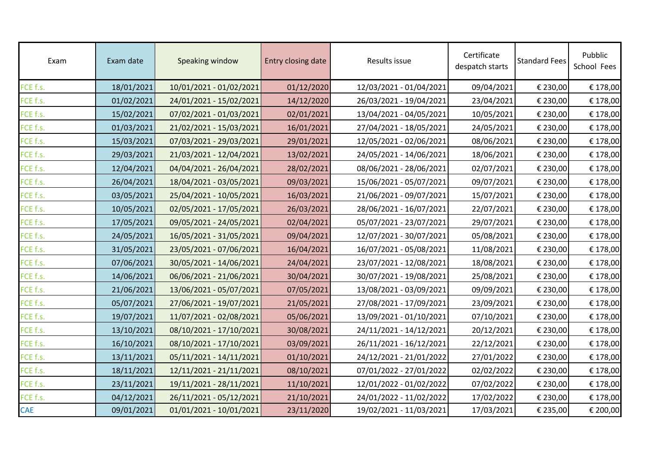| Exam       | Exam date  | Speaking window         | Entry closing date | Results issue           | Certificate<br>despatch starts | <b>Standard Fees</b> | Pubblic<br>School Fees |
|------------|------------|-------------------------|--------------------|-------------------------|--------------------------------|----------------------|------------------------|
| FCE f.s.   | 18/01/2021 | 10/01/2021 - 01/02/2021 | 01/12/2020         | 12/03/2021 - 01/04/2021 | 09/04/2021                     | € 230,00             | € 178,00               |
| FCE f.s.   | 01/02/2021 | 24/01/2021 - 15/02/2021 | 14/12/2020         | 26/03/2021 - 19/04/2021 | 23/04/2021                     | € 230,00             | € 178,00               |
| FCE f.s.   | 15/02/2021 | 07/02/2021 - 01/03/2021 | 02/01/2021         | 13/04/2021 - 04/05/2021 | 10/05/2021                     | € 230,00             | € 178,00               |
| FCE f.s.   | 01/03/2021 | 21/02/2021 - 15/03/2021 | 16/01/2021         | 27/04/2021 - 18/05/2021 | 24/05/2021                     | € 230,00             | € 178,00               |
| FCE f.s.   | 15/03/2021 | 07/03/2021 - 29/03/2021 | 29/01/2021         | 12/05/2021 - 02/06/2021 | 08/06/2021                     | € 230,00             | € 178,00               |
| FCE f.s.   | 29/03/2021 | 21/03/2021 - 12/04/2021 | 13/02/2021         | 24/05/2021 - 14/06/2021 | 18/06/2021                     | € 230,00             | € 178,00               |
| FCE f.s.   | 12/04/2021 | 04/04/2021 - 26/04/2021 | 28/02/2021         | 08/06/2021 - 28/06/2021 | 02/07/2021                     | € 230,00             | € 178,00               |
| FCE f.s.   | 26/04/2021 | 18/04/2021 - 03/05/2021 | 09/03/2021         | 15/06/2021 - 05/07/2021 | 09/07/2021                     | € 230,00             | € 178,00               |
| FCE f.s.   | 03/05/2021 | 25/04/2021 - 10/05/2021 | 16/03/2021         | 21/06/2021 - 09/07/2021 | 15/07/2021                     | € 230,00             | € 178,00               |
| FCE f.s.   | 10/05/2021 | 02/05/2021 - 17/05/2021 | 26/03/2021         | 28/06/2021 - 16/07/2021 | 22/07/2021                     | € 230,00             | € 178,00               |
| FCE f.s.   | 17/05/2021 | 09/05/2021 - 24/05/2021 | 02/04/2021         | 05/07/2021 - 23/07/2021 | 29/07/2021                     | € 230,00             | € 178,00               |
| FCE f.s.   | 24/05/2021 | 16/05/2021 - 31/05/2021 | 09/04/2021         | 12/07/2021 - 30/07/2021 | 05/08/2021                     | € 230,00             | € 178,00               |
| FCE f.s.   | 31/05/2021 | 23/05/2021 - 07/06/2021 | 16/04/2021         | 16/07/2021 - 05/08/2021 | 11/08/2021                     | € 230,00             | € 178,00               |
| FCE f.s.   | 07/06/2021 | 30/05/2021 - 14/06/2021 | 24/04/2021         | 23/07/2021 - 12/08/2021 | 18/08/2021                     | € 230,00             | € 178,00               |
| FCE f.s.   | 14/06/2021 | 06/06/2021 - 21/06/2021 | 30/04/2021         | 30/07/2021 - 19/08/2021 | 25/08/2021                     | € 230,00             | € 178,00               |
| FCE f.s.   | 21/06/2021 | 13/06/2021 - 05/07/2021 | 07/05/2021         | 13/08/2021 - 03/09/2021 | 09/09/2021                     | € 230,00             | € 178,00               |
| FCE f.s.   | 05/07/2021 | 27/06/2021 - 19/07/2021 | 21/05/2021         | 27/08/2021 - 17/09/2021 | 23/09/2021                     | € 230,00             | € 178,00               |
| FCE f.s.   | 19/07/2021 | 11/07/2021 - 02/08/2021 | 05/06/2021         | 13/09/2021 - 01/10/2021 | 07/10/2021                     | € 230,00             | € 178,00               |
| FCE f.s.   | 13/10/2021 | 08/10/2021 - 17/10/2021 | 30/08/2021         | 24/11/2021 - 14/12/2021 | 20/12/2021                     | € 230,00             | € 178,00               |
| FCE f.s.   | 16/10/2021 | 08/10/2021 - 17/10/2021 | 03/09/2021         | 26/11/2021 - 16/12/2021 | 22/12/2021                     | € 230,00             | € 178,00               |
| FCE f.s.   | 13/11/2021 | 05/11/2021 - 14/11/2021 | 01/10/2021         | 24/12/2021 - 21/01/2022 | 27/01/2022                     | € 230,00             | € 178,00               |
| FCE f.s.   | 18/11/2021 | 12/11/2021 - 21/11/2021 | 08/10/2021         | 07/01/2022 - 27/01/2022 | 02/02/2022                     | € 230,00             | € 178,00               |
| FCE f.s.   | 23/11/2021 | 19/11/2021 - 28/11/2021 | 11/10/2021         | 12/01/2022 - 01/02/2022 | 07/02/2022                     | € 230,00             | € 178,00               |
| FCE f.s.   | 04/12/2021 | 26/11/2021 - 05/12/2021 | 21/10/2021         | 24/01/2022 - 11/02/2022 | 17/02/2022                     | € 230,00             | € 178,00               |
| <b>CAE</b> | 09/01/2021 | 01/01/2021 - 10/01/2021 | 23/11/2020         | 19/02/2021 - 11/03/2021 | 17/03/2021                     | € 235,00             | € 200,00               |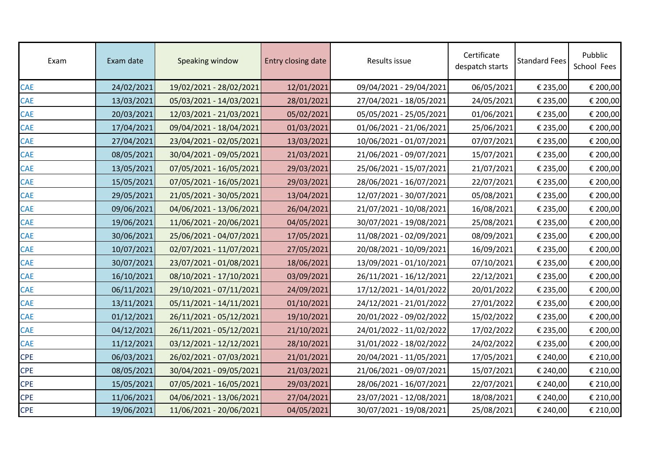| Exam       | Exam date  | Speaking window         | Entry closing date | Results issue           | Certificate<br>despatch starts | <b>Standard Fees</b> | Pubblic<br>School Fees |
|------------|------------|-------------------------|--------------------|-------------------------|--------------------------------|----------------------|------------------------|
| <b>CAE</b> | 24/02/2021 | 19/02/2021 - 28/02/2021 | 12/01/2021         | 09/04/2021 - 29/04/2021 | 06/05/2021                     | € 235,00             | € 200,00               |
| <b>CAE</b> | 13/03/2021 | 05/03/2021 - 14/03/2021 | 28/01/2021         | 27/04/2021 - 18/05/2021 | 24/05/2021                     | € 235,00             | € 200,00               |
| <b>CAE</b> | 20/03/2021 | 12/03/2021 - 21/03/2021 | 05/02/2021         | 05/05/2021 - 25/05/2021 | 01/06/2021                     | € 235,00             | € 200,00               |
| <b>CAE</b> | 17/04/2021 | 09/04/2021 - 18/04/2021 | 01/03/2021         | 01/06/2021 - 21/06/2021 | 25/06/2021                     | € 235,00             | € 200,00               |
| <b>CAE</b> | 27/04/2021 | 23/04/2021 - 02/05/2021 | 13/03/2021         | 10/06/2021 - 01/07/2021 | 07/07/2021                     | € 235,00             | € 200,00               |
| <b>CAE</b> | 08/05/2021 | 30/04/2021 - 09/05/2021 | 21/03/2021         | 21/06/2021 - 09/07/2021 | 15/07/2021                     | € 235,00             | € 200,00               |
| <b>CAE</b> | 13/05/2021 | 07/05/2021 - 16/05/2021 | 29/03/2021         | 25/06/2021 - 15/07/2021 | 21/07/2021                     | € 235,00             | € 200,00               |
| <b>CAE</b> | 15/05/2021 | 07/05/2021 - 16/05/2021 | 29/03/2021         | 28/06/2021 - 16/07/2021 | 22/07/2021                     | € 235,00             | € 200,00               |
| <b>CAE</b> | 29/05/2021 | 21/05/2021 - 30/05/2021 | 13/04/2021         | 12/07/2021 - 30/07/2021 | 05/08/2021                     | € 235,00             | € 200,00               |
| <b>CAE</b> | 09/06/2021 | 04/06/2021 - 13/06/2021 | 26/04/2021         | 21/07/2021 - 10/08/2021 | 16/08/2021                     | € 235,00             | € 200,00               |
| <b>CAE</b> | 19/06/2021 | 11/06/2021 - 20/06/2021 | 04/05/2021         | 30/07/2021 - 19/08/2021 | 25/08/2021                     | € 235,00             | € 200,00               |
| <b>CAE</b> | 30/06/2021 | 25/06/2021 - 04/07/2021 | 17/05/2021         | 11/08/2021 - 02/09/2021 | 08/09/2021                     | € 235,00             | € 200,00               |
| <b>CAE</b> | 10/07/2021 | 02/07/2021 - 11/07/2021 | 27/05/2021         | 20/08/2021 - 10/09/2021 | 16/09/2021                     | € 235,00             | € 200,00               |
| <b>CAE</b> | 30/07/2021 | 23/07/2021 - 01/08/2021 | 18/06/2021         | 13/09/2021 - 01/10/2021 | 07/10/2021                     | € 235,00             | € 200,00               |
| <b>CAE</b> | 16/10/2021 | 08/10/2021 - 17/10/2021 | 03/09/2021         | 26/11/2021 - 16/12/2021 | 22/12/2021                     | € 235,00             | € 200,00               |
| <b>CAE</b> | 06/11/2021 | 29/10/2021 - 07/11/2021 | 24/09/2021         | 17/12/2021 - 14/01/2022 | 20/01/2022                     | € 235,00             | € 200,00               |
| <b>CAE</b> | 13/11/2021 | 05/11/2021 - 14/11/2021 | 01/10/2021         | 24/12/2021 - 21/01/2022 | 27/01/2022                     | € 235,00             | € 200,00               |
| <b>CAE</b> | 01/12/2021 | 26/11/2021 - 05/12/2021 | 19/10/2021         | 20/01/2022 - 09/02/2022 | 15/02/2022                     | € 235,00             | € 200,00               |
| <b>CAE</b> | 04/12/2021 | 26/11/2021 - 05/12/2021 | 21/10/2021         | 24/01/2022 - 11/02/2022 | 17/02/2022                     | € 235,00             | € 200,00               |
| <b>CAE</b> | 11/12/2021 | 03/12/2021 - 12/12/2021 | 28/10/2021         | 31/01/2022 - 18/02/2022 | 24/02/2022                     | € 235,00             | € 200,00               |
| <b>CPE</b> | 06/03/2021 | 26/02/2021 - 07/03/2021 | 21/01/2021         | 20/04/2021 - 11/05/2021 | 17/05/2021                     | € 240,00             | € 210,00               |
| <b>CPE</b> | 08/05/2021 | 30/04/2021 - 09/05/2021 | 21/03/2021         | 21/06/2021 - 09/07/2021 | 15/07/2021                     | € 240,00             | € 210,00               |
| <b>CPE</b> | 15/05/2021 | 07/05/2021 - 16/05/2021 | 29/03/2021         | 28/06/2021 - 16/07/2021 | 22/07/2021                     | € 240,00             | € 210,00               |
| <b>CPE</b> | 11/06/2021 | 04/06/2021 - 13/06/2021 | 27/04/2021         | 23/07/2021 - 12/08/2021 | 18/08/2021                     | € 240,00             | € 210,00               |
| <b>CPE</b> | 19/06/2021 | 11/06/2021 - 20/06/2021 | 04/05/2021         | 30/07/2021 - 19/08/2021 | 25/08/2021                     | € 240,00             | € 210,00               |